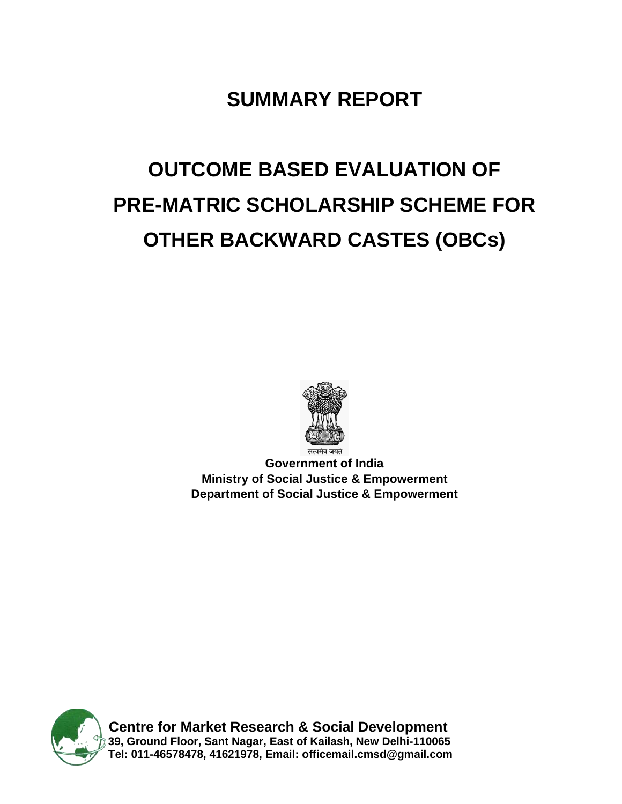## **SUMMARY REPORT**

# **OUTCOME BASED EVALUATION OF PRE-MATRIC SCHOLARSHIP SCHEME FOR OTHER BACKWARD CASTES (OBCs)**



**Government of India Ministry of Social Justice & Empowerment Department of Social Justice & Empowerment**



**Centre for Market Research & Social Development 39, Ground Floor, Sant Nagar, East of Kailash, New Delhi-110065 Tel: 011-46578478, 41621978, Email: [officemail.cmsd@gmail.com](mailto:officemail.cmsd@gmail.com)**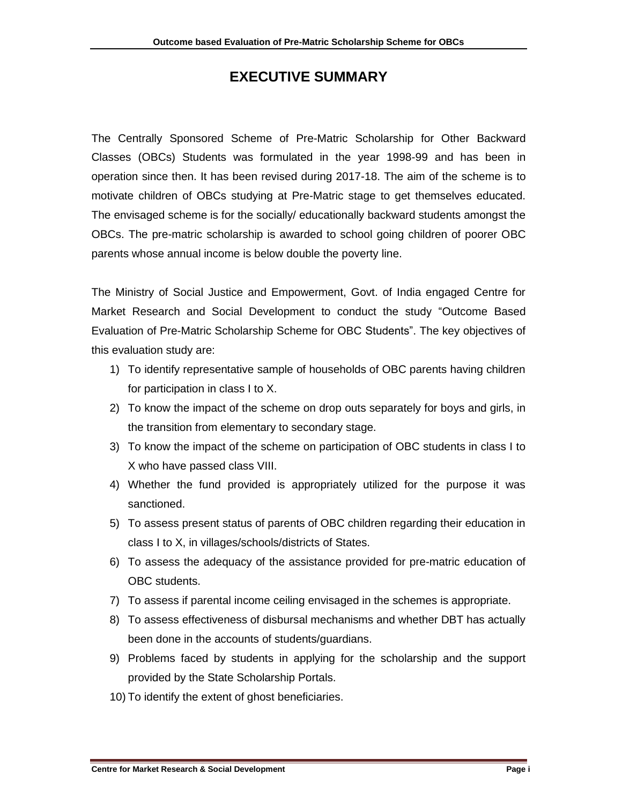### **EXECUTIVE SUMMARY**

The Centrally Sponsored Scheme of Pre-Matric Scholarship for Other Backward Classes (OBCs) Students was formulated in the year 1998-99 and has been in operation since then. It has been revised during 2017-18. The aim of the scheme is to motivate children of OBCs studying at Pre-Matric stage to get themselves educated. The envisaged scheme is for the socially/ educationally backward students amongst the OBCs. The pre-matric scholarship is awarded to school going children of poorer OBC parents whose annual income is below double the poverty line.

The Ministry of Social Justice and Empowerment, Govt. of India engaged Centre for Market Research and Social Development to conduct the study "Outcome Based Evaluation of Pre-Matric Scholarship Scheme for OBC Students". The key objectives of this evaluation study are:

- 1) To identify representative sample of households of OBC parents having children for participation in class I to X.
- 2) To know the impact of the scheme on drop outs separately for boys and girls, in the transition from elementary to secondary stage.
- 3) To know the impact of the scheme on participation of OBC students in class I to X who have passed class VIII.
- 4) Whether the fund provided is appropriately utilized for the purpose it was sanctioned.
- 5) To assess present status of parents of OBC children regarding their education in class I to X, in villages/schools/districts of States.
- 6) To assess the adequacy of the assistance provided for pre-matric education of OBC students.
- 7) To assess if parental income ceiling envisaged in the schemes is appropriate.
- 8) To assess effectiveness of disbursal mechanisms and whether DBT has actually been done in the accounts of students/guardians.
- 9) Problems faced by students in applying for the scholarship and the support provided by the State Scholarship Portals.
- 10) To identify the extent of ghost beneficiaries.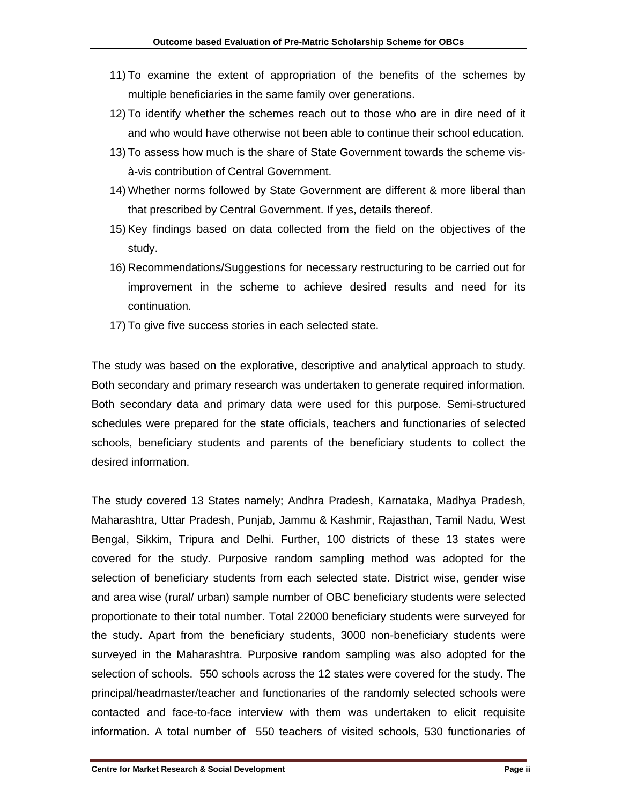- 11) To examine the extent of appropriation of the benefits of the schemes by multiple beneficiaries in the same family over generations.
- 12) To identify whether the schemes reach out to those who are in dire need of it and who would have otherwise not been able to continue their school education.
- 13) To assess how much is the share of State Government towards the scheme visà-vis contribution of Central Government.
- 14) Whether norms followed by State Government are different & more liberal than that prescribed by Central Government. If yes, details thereof.
- 15) Key findings based on data collected from the field on the objectives of the study.
- 16) Recommendations/Suggestions for necessary restructuring to be carried out for improvement in the scheme to achieve desired results and need for its continuation.
- 17) To give five success stories in each selected state.

The study was based on the explorative, descriptive and analytical approach to study. Both secondary and primary research was undertaken to generate required information. Both secondary data and primary data were used for this purpose. Semi-structured schedules were prepared for the state officials, teachers and functionaries of selected schools, beneficiary students and parents of the beneficiary students to collect the desired information.

The study covered 13 States namely; Andhra Pradesh, Karnataka, Madhya Pradesh, Maharashtra, Uttar Pradesh, Punjab, Jammu & Kashmir, Rajasthan, Tamil Nadu, West Bengal, Sikkim, Tripura and Delhi. Further, 100 districts of these 13 states were covered for the study. Purposive random sampling method was adopted for the selection of beneficiary students from each selected state. District wise, gender wise and area wise (rural/ urban) sample number of OBC beneficiary students were selected proportionate to their total number. Total 22000 beneficiary students were surveyed for the study. Apart from the beneficiary students, 3000 non-beneficiary students were surveyed in the Maharashtra. Purposive random sampling was also adopted for the selection of schools. 550 schools across the 12 states were covered for the study. The principal/headmaster/teacher and functionaries of the randomly selected schools were contacted and face-to-face interview with them was undertaken to elicit requisite information. A total number of 550 teachers of visited schools, 530 functionaries of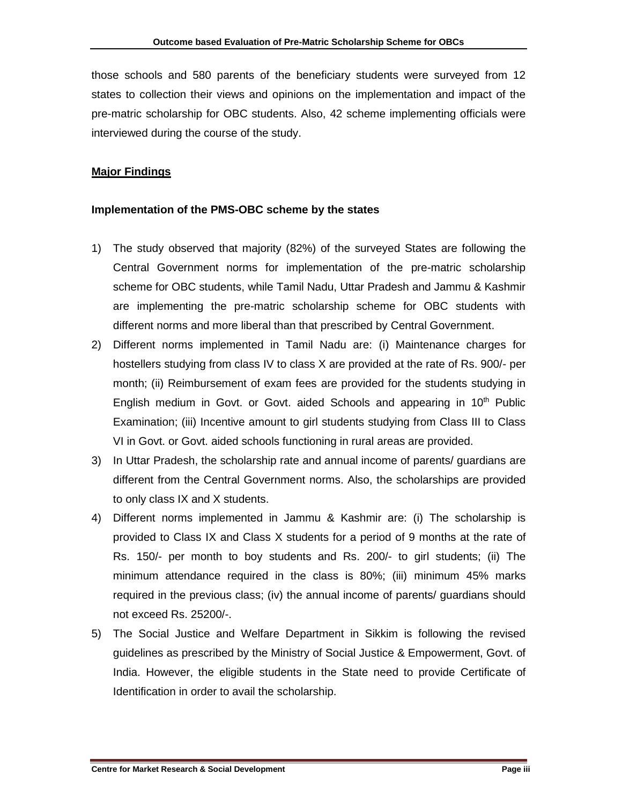those schools and 580 parents of the beneficiary students were surveyed from 12 states to collection their views and opinions on the implementation and impact of the pre-matric scholarship for OBC students. Also, 42 scheme implementing officials were interviewed during the course of the study.

#### **Major Findings**

#### **Implementation of the PMS-OBC scheme by the states**

- 1) The study observed that majority (82%) of the surveyed States are following the Central Government norms for implementation of the pre-matric scholarship scheme for OBC students, while Tamil Nadu, Uttar Pradesh and Jammu & Kashmir are implementing the pre-matric scholarship scheme for OBC students with different norms and more liberal than that prescribed by Central Government.
- 2) Different norms implemented in Tamil Nadu are: (i) Maintenance charges for hostellers studying from class IV to class X are provided at the rate of Rs. 900/- per month; (ii) Reimbursement of exam fees are provided for the students studying in English medium in Govt. or Govt. aided Schools and appearing in  $10<sup>th</sup>$  Public Examination; (iii) Incentive amount to girl students studying from Class III to Class VI in Govt. or Govt. aided schools functioning in rural areas are provided.
- 3) In Uttar Pradesh, the scholarship rate and annual income of parents/ guardians are different from the Central Government norms. Also, the scholarships are provided to only class IX and X students.
- 4) Different norms implemented in Jammu & Kashmir are: (i) The scholarship is provided to Class IX and Class X students for a period of 9 months at the rate of Rs. 150/- per month to boy students and Rs. 200/- to girl students; (ii) The minimum attendance required in the class is 80%; (iii) minimum 45% marks required in the previous class; (iv) the annual income of parents/ guardians should not exceed Rs. 25200/-.
- 5) The Social Justice and Welfare Department in Sikkim is following the revised guidelines as prescribed by the Ministry of Social Justice & Empowerment, Govt. of India. However, the eligible students in the State need to provide Certificate of Identification in order to avail the scholarship.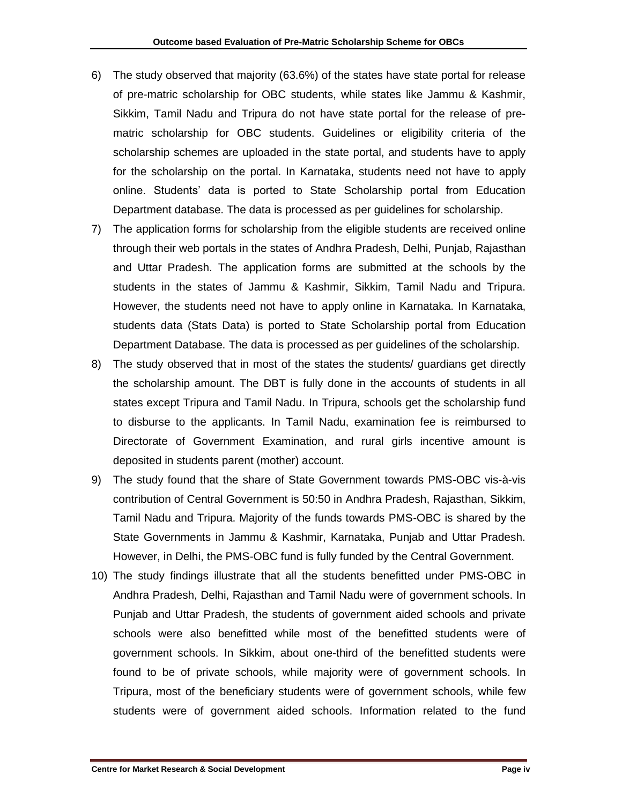- 6) The study observed that majority (63.6%) of the states have state portal for release of pre-matric scholarship for OBC students, while states like Jammu & Kashmir, Sikkim, Tamil Nadu and Tripura do not have state portal for the release of prematric scholarship for OBC students. Guidelines or eligibility criteria of the scholarship schemes are uploaded in the state portal, and students have to apply for the scholarship on the portal. In Karnataka, students need not have to apply online. Students' data is ported to State Scholarship portal from Education Department database. The data is processed as per guidelines for scholarship.
- 7) The application forms for scholarship from the eligible students are received online through their web portals in the states of Andhra Pradesh, Delhi, Punjab, Rajasthan and Uttar Pradesh. The application forms are submitted at the schools by the students in the states of Jammu & Kashmir, Sikkim, Tamil Nadu and Tripura. However, the students need not have to apply online in Karnataka. In Karnataka, students data (Stats Data) is ported to State Scholarship portal from Education Department Database. The data is processed as per guidelines of the scholarship.
- 8) The study observed that in most of the states the students/ guardians get directly the scholarship amount. The DBT is fully done in the accounts of students in all states except Tripura and Tamil Nadu. In Tripura, schools get the scholarship fund to disburse to the applicants. In Tamil Nadu, examination fee is reimbursed to Directorate of Government Examination, and rural girls incentive amount is deposited in students parent (mother) account.
- 9) The study found that the share of State Government towards PMS-OBC vis-à-vis contribution of Central Government is 50:50 in Andhra Pradesh, Rajasthan, Sikkim, Tamil Nadu and Tripura. Majority of the funds towards PMS-OBC is shared by the State Governments in Jammu & Kashmir, Karnataka, Punjab and Uttar Pradesh. However, in Delhi, the PMS-OBC fund is fully funded by the Central Government.
- 10) The study findings illustrate that all the students benefitted under PMS-OBC in Andhra Pradesh, Delhi, Rajasthan and Tamil Nadu were of government schools. In Punjab and Uttar Pradesh, the students of government aided schools and private schools were also benefitted while most of the benefitted students were of government schools. In Sikkim, about one-third of the benefitted students were found to be of private schools, while majority were of government schools. In Tripura, most of the beneficiary students were of government schools, while few students were of government aided schools. Information related to the fund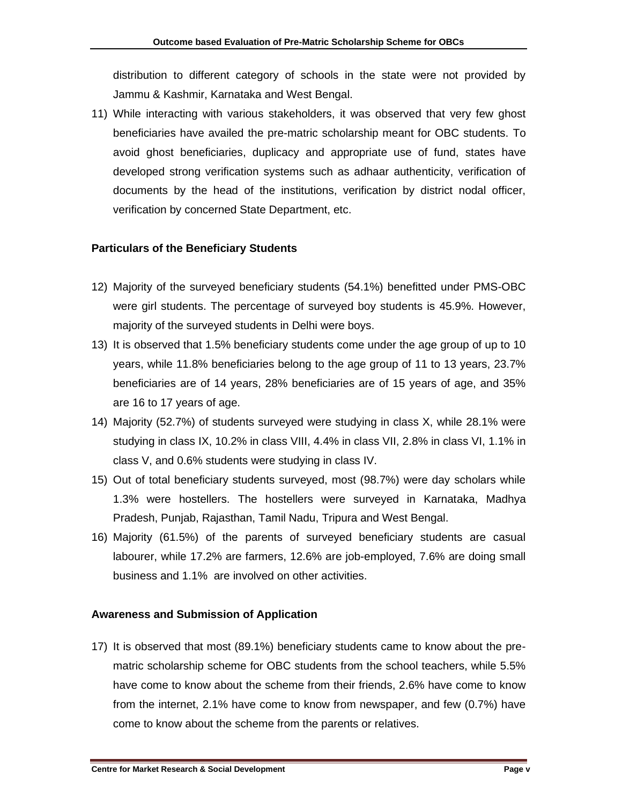distribution to different category of schools in the state were not provided by Jammu & Kashmir, Karnataka and West Bengal.

11) While interacting with various stakeholders, it was observed that very few ghost beneficiaries have availed the pre-matric scholarship meant for OBC students. To avoid ghost beneficiaries, duplicacy and appropriate use of fund, states have developed strong verification systems such as adhaar authenticity, verification of documents by the head of the institutions, verification by district nodal officer, verification by concerned State Department, etc.

#### **Particulars of the Beneficiary Students**

- 12) Majority of the surveyed beneficiary students (54.1%) benefitted under PMS-OBC were girl students. The percentage of surveyed boy students is 45.9%. However, majority of the surveyed students in Delhi were boys.
- 13) It is observed that 1.5% beneficiary students come under the age group of up to 10 years, while 11.8% beneficiaries belong to the age group of 11 to 13 years, 23.7% beneficiaries are of 14 years, 28% beneficiaries are of 15 years of age, and 35% are 16 to 17 years of age.
- 14) Majority (52.7%) of students surveyed were studying in class X, while 28.1% were studying in class IX, 10.2% in class VIII, 4.4% in class VII, 2.8% in class VI, 1.1% in class V, and 0.6% students were studying in class IV.
- 15) Out of total beneficiary students surveyed, most (98.7%) were day scholars while 1.3% were hostellers. The hostellers were surveyed in Karnataka, Madhya Pradesh, Punjab, Rajasthan, Tamil Nadu, Tripura and West Bengal.
- 16) Majority (61.5%) of the parents of surveyed beneficiary students are casual labourer, while 17.2% are farmers, 12.6% are job-employed, 7.6% are doing small business and 1.1% are involved on other activities.

#### **Awareness and Submission of Application**

17) It is observed that most (89.1%) beneficiary students came to know about the prematric scholarship scheme for OBC students from the school teachers, while 5.5% have come to know about the scheme from their friends, 2.6% have come to know from the internet, 2.1% have come to know from newspaper, and few (0.7%) have come to know about the scheme from the parents or relatives.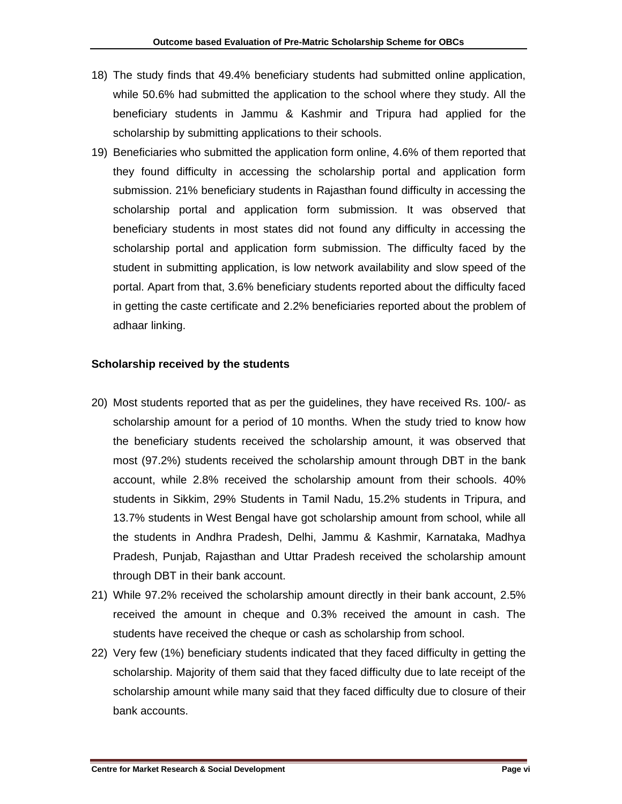- 18) The study finds that 49.4% beneficiary students had submitted online application, while 50.6% had submitted the application to the school where they study. All the beneficiary students in Jammu & Kashmir and Tripura had applied for the scholarship by submitting applications to their schools.
- 19) Beneficiaries who submitted the application form online, 4.6% of them reported that they found difficulty in accessing the scholarship portal and application form submission. 21% beneficiary students in Rajasthan found difficulty in accessing the scholarship portal and application form submission. It was observed that beneficiary students in most states did not found any difficulty in accessing the scholarship portal and application form submission. The difficulty faced by the student in submitting application, is low network availability and slow speed of the portal. Apart from that, 3.6% beneficiary students reported about the difficulty faced in getting the caste certificate and 2.2% beneficiaries reported about the problem of adhaar linking.

#### **Scholarship received by the students**

- 20) Most students reported that as per the guidelines, they have received Rs. 100/- as scholarship amount for a period of 10 months. When the study tried to know how the beneficiary students received the scholarship amount, it was observed that most (97.2%) students received the scholarship amount through DBT in the bank account, while 2.8% received the scholarship amount from their schools. 40% students in Sikkim, 29% Students in Tamil Nadu, 15.2% students in Tripura, and 13.7% students in West Bengal have got scholarship amount from school, while all the students in Andhra Pradesh, Delhi, Jammu & Kashmir, Karnataka, Madhya Pradesh, Punjab, Rajasthan and Uttar Pradesh received the scholarship amount through DBT in their bank account.
- 21) While 97.2% received the scholarship amount directly in their bank account, 2.5% received the amount in cheque and 0.3% received the amount in cash. The students have received the cheque or cash as scholarship from school.
- 22) Very few (1%) beneficiary students indicated that they faced difficulty in getting the scholarship. Majority of them said that they faced difficulty due to late receipt of the scholarship amount while many said that they faced difficulty due to closure of their bank accounts.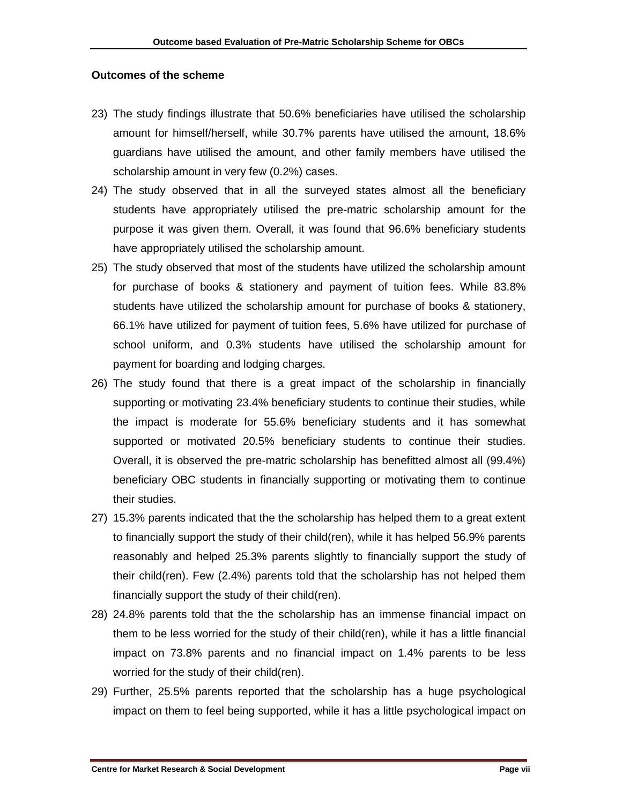#### **Outcomes of the scheme**

- 23) The study findings illustrate that 50.6% beneficiaries have utilised the scholarship amount for himself/herself, while 30.7% parents have utilised the amount, 18.6% guardians have utilised the amount, and other family members have utilised the scholarship amount in very few (0.2%) cases.
- 24) The study observed that in all the surveyed states almost all the beneficiary students have appropriately utilised the pre-matric scholarship amount for the purpose it was given them. Overall, it was found that 96.6% beneficiary students have appropriately utilised the scholarship amount.
- 25) The study observed that most of the students have utilized the scholarship amount for purchase of books & stationery and payment of tuition fees. While 83.8% students have utilized the scholarship amount for purchase of books & stationery, 66.1% have utilized for payment of tuition fees, 5.6% have utilized for purchase of school uniform, and 0.3% students have utilised the scholarship amount for payment for boarding and lodging charges.
- 26) The study found that there is a great impact of the scholarship in financially supporting or motivating 23.4% beneficiary students to continue their studies, while the impact is moderate for 55.6% beneficiary students and it has somewhat supported or motivated 20.5% beneficiary students to continue their studies. Overall, it is observed the pre-matric scholarship has benefitted almost all (99.4%) beneficiary OBC students in financially supporting or motivating them to continue their studies.
- 27) 15.3% parents indicated that the the scholarship has helped them to a great extent to financially support the study of their child(ren), while it has helped 56.9% parents reasonably and helped 25.3% parents slightly to financially support the study of their child(ren). Few (2.4%) parents told that the scholarship has not helped them financially support the study of their child(ren).
- 28) 24.8% parents told that the the scholarship has an immense financial impact on them to be less worried for the study of their child(ren), while it has a little financial impact on 73.8% parents and no financial impact on 1.4% parents to be less worried for the study of their child(ren).
- 29) Further, 25.5% parents reported that the scholarship has a huge psychological impact on them to feel being supported, while it has a little psychological impact on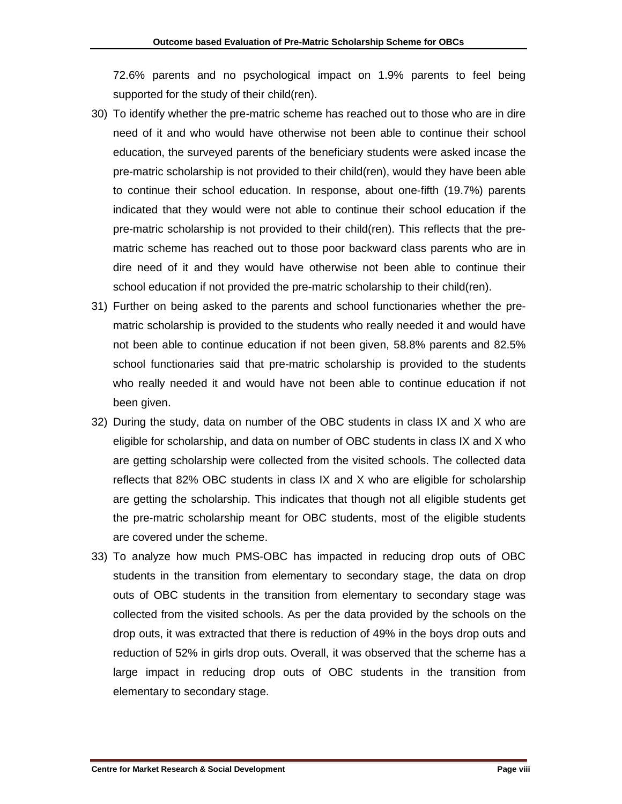72.6% parents and no psychological impact on 1.9% parents to feel being supported for the study of their child(ren).

- 30) To identify whether the pre-matric scheme has reached out to those who are in dire need of it and who would have otherwise not been able to continue their school education, the surveyed parents of the beneficiary students were asked incase the pre-matric scholarship is not provided to their child(ren), would they have been able to continue their school education. In response, about one-fifth (19.7%) parents indicated that they would were not able to continue their school education if the pre-matric scholarship is not provided to their child(ren). This reflects that the prematric scheme has reached out to those poor backward class parents who are in dire need of it and they would have otherwise not been able to continue their school education if not provided the pre-matric scholarship to their child(ren).
- 31) Further on being asked to the parents and school functionaries whether the prematric scholarship is provided to the students who really needed it and would have not been able to continue education if not been given, 58.8% parents and 82.5% school functionaries said that pre-matric scholarship is provided to the students who really needed it and would have not been able to continue education if not been given.
- 32) During the study, data on number of the OBC students in class IX and X who are eligible for scholarship, and data on number of OBC students in class IX and X who are getting scholarship were collected from the visited schools. The collected data reflects that 82% OBC students in class IX and X who are eligible for scholarship are getting the scholarship. This indicates that though not all eligible students get the pre-matric scholarship meant for OBC students, most of the eligible students are covered under the scheme.
- 33) To analyze how much PMS-OBC has impacted in reducing drop outs of OBC students in the transition from elementary to secondary stage, the data on drop outs of OBC students in the transition from elementary to secondary stage was collected from the visited schools. As per the data provided by the schools on the drop outs, it was extracted that there is reduction of 49% in the boys drop outs and reduction of 52% in girls drop outs. Overall, it was observed that the scheme has a large impact in reducing drop outs of OBC students in the transition from elementary to secondary stage.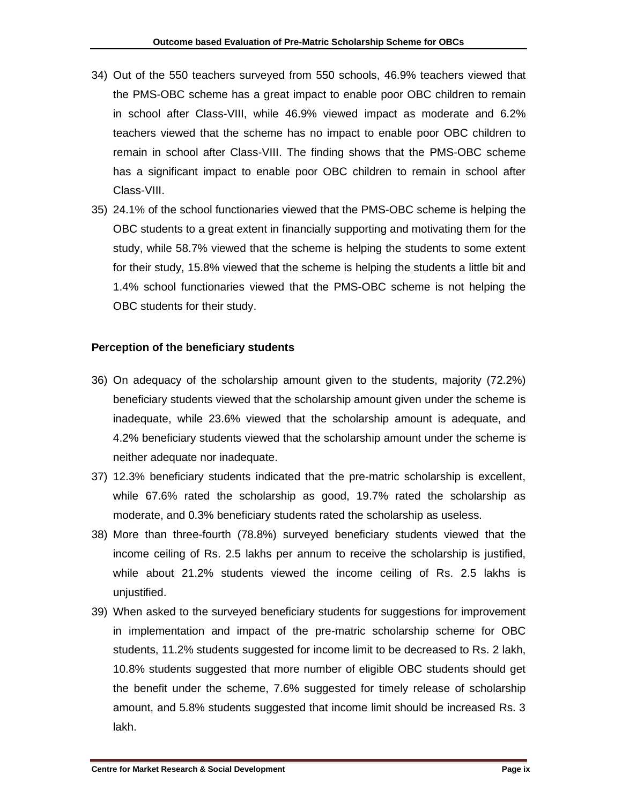- 34) Out of the 550 teachers surveyed from 550 schools, 46.9% teachers viewed that the PMS-OBC scheme has a great impact to enable poor OBC children to remain in school after Class-VIII, while 46.9% viewed impact as moderate and 6.2% teachers viewed that the scheme has no impact to enable poor OBC children to remain in school after Class-VIII. The finding shows that the PMS-OBC scheme has a significant impact to enable poor OBC children to remain in school after Class-VIII.
- 35) 24.1% of the school functionaries viewed that the PMS-OBC scheme is helping the OBC students to a great extent in financially supporting and motivating them for the study, while 58.7% viewed that the scheme is helping the students to some extent for their study, 15.8% viewed that the scheme is helping the students a little bit and 1.4% school functionaries viewed that the PMS-OBC scheme is not helping the OBC students for their study.

#### **Perception of the beneficiary students**

- 36) On adequacy of the scholarship amount given to the students, majority (72.2%) beneficiary students viewed that the scholarship amount given under the scheme is inadequate, while 23.6% viewed that the scholarship amount is adequate, and 4.2% beneficiary students viewed that the scholarship amount under the scheme is neither adequate nor inadequate.
- 37) 12.3% beneficiary students indicated that the pre-matric scholarship is excellent, while 67.6% rated the scholarship as good, 19.7% rated the scholarship as moderate, and 0.3% beneficiary students rated the scholarship as useless.
- 38) More than three-fourth (78.8%) surveyed beneficiary students viewed that the income ceiling of Rs. 2.5 lakhs per annum to receive the scholarship is justified, while about 21.2% students viewed the income ceiling of Rs. 2.5 lakhs is unjustified.
- 39) When asked to the surveyed beneficiary students for suggestions for improvement in implementation and impact of the pre-matric scholarship scheme for OBC students, 11.2% students suggested for income limit to be decreased to Rs. 2 lakh, 10.8% students suggested that more number of eligible OBC students should get the benefit under the scheme, 7.6% suggested for timely release of scholarship amount, and 5.8% students suggested that income limit should be increased Rs. 3 lakh.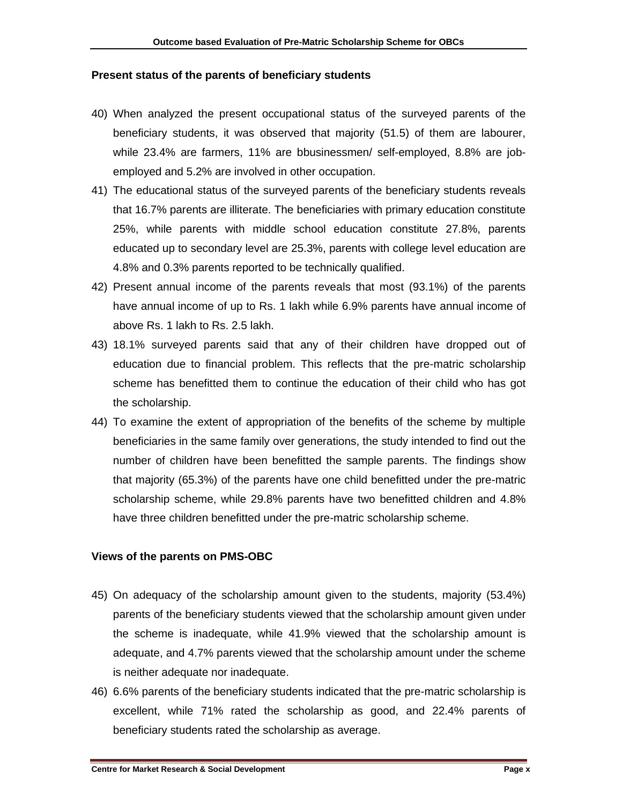#### **Present status of the parents of beneficiary students**

- 40) When analyzed the present occupational status of the surveyed parents of the beneficiary students, it was observed that majority (51.5) of them are labourer, while 23.4% are farmers, 11% are bbusinessmen/ self-employed, 8.8% are jobemployed and 5.2% are involved in other occupation.
- 41) The educational status of the surveyed parents of the beneficiary students reveals that 16.7% parents are illiterate. The beneficiaries with primary education constitute 25%, while parents with middle school education constitute 27.8%, parents educated up to secondary level are 25.3%, parents with college level education are 4.8% and 0.3% parents reported to be technically qualified.
- 42) Present annual income of the parents reveals that most (93.1%) of the parents have annual income of up to Rs. 1 lakh while 6.9% parents have annual income of above Rs. 1 lakh to Rs. 2.5 lakh.
- 43) 18.1% surveyed parents said that any of their children have dropped out of education due to financial problem. This reflects that the pre-matric scholarship scheme has benefitted them to continue the education of their child who has got the scholarship.
- 44) To examine the extent of appropriation of the benefits of the scheme by multiple beneficiaries in the same family over generations, the study intended to find out the number of children have been benefitted the sample parents. The findings show that majority (65.3%) of the parents have one child benefitted under the pre-matric scholarship scheme, while 29.8% parents have two benefitted children and 4.8% have three children benefitted under the pre-matric scholarship scheme.

#### **Views of the parents on PMS-OBC**

- 45) On adequacy of the scholarship amount given to the students, majority (53.4%) parents of the beneficiary students viewed that the scholarship amount given under the scheme is inadequate, while 41.9% viewed that the scholarship amount is adequate, and 4.7% parents viewed that the scholarship amount under the scheme is neither adequate nor inadequate.
- 46) 6.6% parents of the beneficiary students indicated that the pre-matric scholarship is excellent, while 71% rated the scholarship as good, and 22.4% parents of beneficiary students rated the scholarship as average.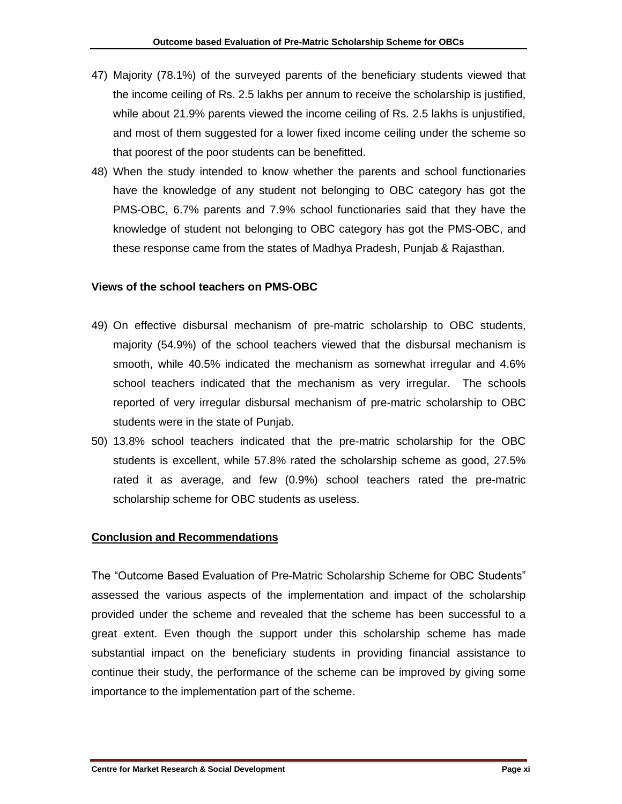- 47) Majority (78.1%) of the surveyed parents of the beneficiary students viewed that the income ceiling of Rs. 2.5 lakhs per annum to receive the scholarship is justified, while about 21.9% parents viewed the income ceiling of Rs. 2.5 lakhs is unjustified, and most of them suggested for a lower fixed income ceiling under the scheme so that poorest of the poor students can be benefitted.
- 48) When the study intended to know whether the parents and school functionaries have the knowledge of any student not belonging to OBC category has got the PMS-OBC, 6.7% parents and 7.9% school functionaries said that they have the knowledge of student not belonging to OBC category has got the PMS-OBC, and these response came from the states of Madhya Pradesh, Punjab & Rajasthan.

#### **Views of the school teachers on PMS-OBC**

- 49) On effective disbursal mechanism of pre-matric scholarship to OBC students, majority (54.9%) of the school teachers viewed that the disbursal mechanism is smooth, while 40.5% indicated the mechanism as somewhat irregular and 4.6% school teachers indicated that the mechanism as very irregular. The schools reported of very irregular disbursal mechanism of pre-matric scholarship to OBC students were in the state of Punjab.
- 50) 13.8% school teachers indicated that the pre-matric scholarship for the OBC students is excellent, while 57.8% rated the scholarship scheme as good, 27.5% rated it as average, and few (0.9%) school teachers rated the pre-matric scholarship scheme for OBC students as useless.

#### **Conclusion and Recommendations**

The "Outcome Based Evaluation of Pre-Matric Scholarship Scheme for OBC Students" assessed the various aspects of the implementation and impact of the scholarship provided under the scheme and revealed that the scheme has been successful to a great extent. Even though the support under this scholarship scheme has made substantial impact on the beneficiary students in providing financial assistance to continue their study, the performance of the scheme can be improved by giving some importance to the implementation part of the scheme.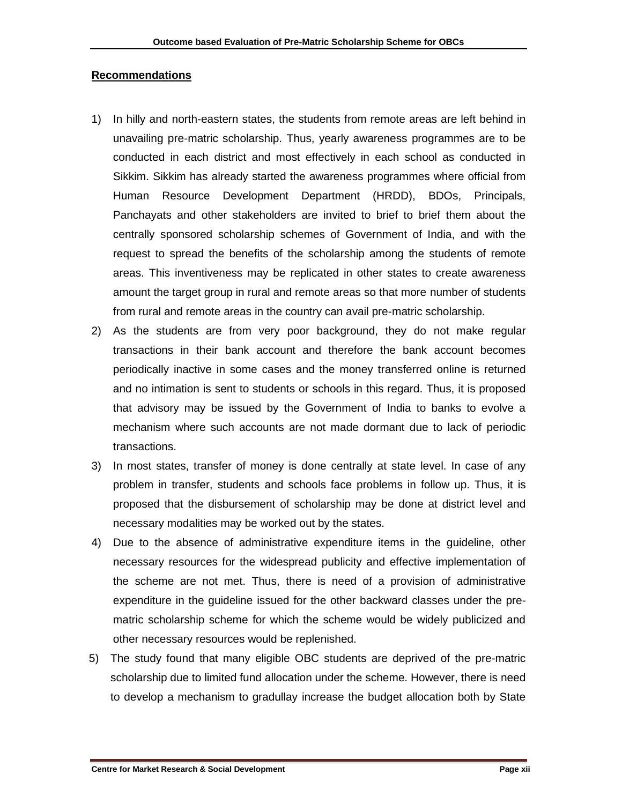#### **Recommendations**

- 1) In hilly and north-eastern states, the students from remote areas are left behind in unavailing pre-matric scholarship. Thus, yearly awareness programmes are to be conducted in each district and most effectively in each school as conducted in Sikkim. Sikkim has already started the awareness programmes where official from Human Resource Development Department (HRDD), BDOs, Principals, Panchayats and other stakeholders are invited to brief to brief them about the centrally sponsored scholarship schemes of Government of India, and with the request to spread the benefits of the scholarship among the students of remote areas. This inventiveness may be replicated in other states to create awareness amount the target group in rural and remote areas so that more number of students from rural and remote areas in the country can avail pre-matric scholarship.
- 2) As the students are from very poor background, they do not make regular transactions in their bank account and therefore the bank account becomes periodically inactive in some cases and the money transferred online is returned and no intimation is sent to students or schools in this regard. Thus, it is proposed that advisory may be issued by the Government of India to banks to evolve a mechanism where such accounts are not made dormant due to lack of periodic transactions.
- 3) In most states, transfer of money is done centrally at state level. In case of any problem in transfer, students and schools face problems in follow up. Thus, it is proposed that the disbursement of scholarship may be done at district level and necessary modalities may be worked out by the states.
- 4) Due to the absence of administrative expenditure items in the guideline, other necessary resources for the widespread publicity and effective implementation of the scheme are not met. Thus, there is need of a provision of administrative expenditure in the guideline issued for the other backward classes under the prematric scholarship scheme for which the scheme would be widely publicized and other necessary resources would be replenished.
- 5) The study found that many eligible OBC students are deprived of the pre-matric scholarship due to limited fund allocation under the scheme. However, there is need to develop a mechanism to gradullay increase the budget allocation both by State